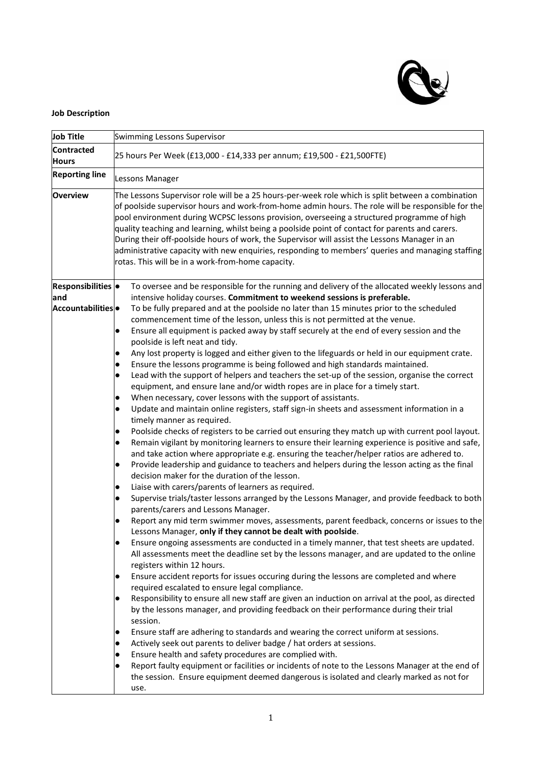

## **Job Description**

| Job Title                     | Swimming Lessons Supervisor                                                                                                                                                                                                                                                                                                                                                                                                                                                                                                                                                                                                                                       |
|-------------------------------|-------------------------------------------------------------------------------------------------------------------------------------------------------------------------------------------------------------------------------------------------------------------------------------------------------------------------------------------------------------------------------------------------------------------------------------------------------------------------------------------------------------------------------------------------------------------------------------------------------------------------------------------------------------------|
| <b>Contracted</b>             |                                                                                                                                                                                                                                                                                                                                                                                                                                                                                                                                                                                                                                                                   |
| <b>Hours</b>                  | 25 hours Per Week (£13,000 - £14,333 per annum; £19,500 - £21,500FTE)                                                                                                                                                                                                                                                                                                                                                                                                                                                                                                                                                                                             |
| <b>Reporting line</b>         | Lessons Manager                                                                                                                                                                                                                                                                                                                                                                                                                                                                                                                                                                                                                                                   |
| <b>Overview</b>               | The Lessons Supervisor role will be a 25 hours-per-week role which is split between a combination<br>of poolside supervisor hours and work-from-home admin hours. The role will be responsible for the<br>pool environment during WCPSC lessons provision, overseeing a structured programme of high<br>quality teaching and learning, whilst being a poolside point of contact for parents and carers.<br>During their off-poolside hours of work, the Supervisor will assist the Lessons Manager in an<br>administrative capacity with new enquiries, responding to members' queries and managing staffing<br>rotas. This will be in a work-from-home capacity. |
| Responsibilities ·            | To oversee and be responsible for the running and delivery of the allocated weekly lessons and                                                                                                                                                                                                                                                                                                                                                                                                                                                                                                                                                                    |
| land                          | intensive holiday courses. Commitment to weekend sessions is preferable.                                                                                                                                                                                                                                                                                                                                                                                                                                                                                                                                                                                          |
| Accountabilities <sup>o</sup> | To be fully prepared and at the poolside no later than 15 minutes prior to the scheduled<br>commencement time of the lesson, unless this is not permitted at the venue.                                                                                                                                                                                                                                                                                                                                                                                                                                                                                           |
|                               | Ensure all equipment is packed away by staff securely at the end of every session and the<br>$\bullet$<br>poolside is left neat and tidy.                                                                                                                                                                                                                                                                                                                                                                                                                                                                                                                         |
|                               | Any lost property is logged and either given to the lifeguards or held in our equipment crate.                                                                                                                                                                                                                                                                                                                                                                                                                                                                                                                                                                    |
|                               | Ensure the lessons programme is being followed and high standards maintained.<br>$\bullet$                                                                                                                                                                                                                                                                                                                                                                                                                                                                                                                                                                        |
|                               | Lead with the support of helpers and teachers the set-up of the session, organise the correct<br>$\bullet$                                                                                                                                                                                                                                                                                                                                                                                                                                                                                                                                                        |
|                               | equipment, and ensure lane and/or width ropes are in place for a timely start.                                                                                                                                                                                                                                                                                                                                                                                                                                                                                                                                                                                    |
|                               | When necessary, cover lessons with the support of assistants.<br>$\bullet$                                                                                                                                                                                                                                                                                                                                                                                                                                                                                                                                                                                        |
|                               | Update and maintain online registers, staff sign-in sheets and assessment information in a<br>$\bullet$                                                                                                                                                                                                                                                                                                                                                                                                                                                                                                                                                           |
|                               | timely manner as required.                                                                                                                                                                                                                                                                                                                                                                                                                                                                                                                                                                                                                                        |
|                               | Poolside checks of registers to be carried out ensuring they match up with current pool layout.<br>$\bullet$                                                                                                                                                                                                                                                                                                                                                                                                                                                                                                                                                      |
|                               | Remain vigilant by monitoring learners to ensure their learning experience is positive and safe,<br>$\bullet$                                                                                                                                                                                                                                                                                                                                                                                                                                                                                                                                                     |
|                               | and take action where appropriate e.g. ensuring the teacher/helper ratios are adhered to.                                                                                                                                                                                                                                                                                                                                                                                                                                                                                                                                                                         |
|                               | Provide leadership and guidance to teachers and helpers during the lesson acting as the final<br>$\bullet$<br>decision maker for the duration of the lesson.                                                                                                                                                                                                                                                                                                                                                                                                                                                                                                      |
|                               | Liaise with carers/parents of learners as required.<br>$\bullet$                                                                                                                                                                                                                                                                                                                                                                                                                                                                                                                                                                                                  |
|                               | Supervise trials/taster lessons arranged by the Lessons Manager, and provide feedback to both<br>$\bullet$<br>parents/carers and Lessons Manager.                                                                                                                                                                                                                                                                                                                                                                                                                                                                                                                 |
|                               | Report any mid term swimmer moves, assessments, parent feedback, concerns or issues to the<br>$\bullet$<br>Lessons Manager, only if they cannot be dealt with poolside.                                                                                                                                                                                                                                                                                                                                                                                                                                                                                           |
|                               | Ensure ongoing assessments are conducted in a timely manner, that test sheets are updated.<br>$\bullet$<br>All assessments meet the deadline set by the lessons manager, and are updated to the online<br>registers within 12 hours.                                                                                                                                                                                                                                                                                                                                                                                                                              |
|                               | Ensure accident reports for issues occuring during the lessons are completed and where<br>$\bullet$                                                                                                                                                                                                                                                                                                                                                                                                                                                                                                                                                               |
|                               | required escalated to ensure legal compliance.                                                                                                                                                                                                                                                                                                                                                                                                                                                                                                                                                                                                                    |
|                               | Responsibility to ensure all new staff are given an induction on arrival at the pool, as directed<br>$\bullet$                                                                                                                                                                                                                                                                                                                                                                                                                                                                                                                                                    |
|                               | by the lessons manager, and providing feedback on their performance during their trial<br>session.                                                                                                                                                                                                                                                                                                                                                                                                                                                                                                                                                                |
|                               |                                                                                                                                                                                                                                                                                                                                                                                                                                                                                                                                                                                                                                                                   |
|                               | Ensure staff are adhering to standards and wearing the correct uniform at sessions.<br>$\bullet$<br>Actively seek out parents to deliver badge / hat orders at sessions.                                                                                                                                                                                                                                                                                                                                                                                                                                                                                          |
|                               | $\bullet$<br>Ensure health and safety procedures are complied with.<br>$\bullet$                                                                                                                                                                                                                                                                                                                                                                                                                                                                                                                                                                                  |
|                               | Report faulty equipment or facilities or incidents of note to the Lessons Manager at the end of<br>$\bullet$<br>the session. Ensure equipment deemed dangerous is isolated and clearly marked as not for                                                                                                                                                                                                                                                                                                                                                                                                                                                          |
|                               | use.                                                                                                                                                                                                                                                                                                                                                                                                                                                                                                                                                                                                                                                              |